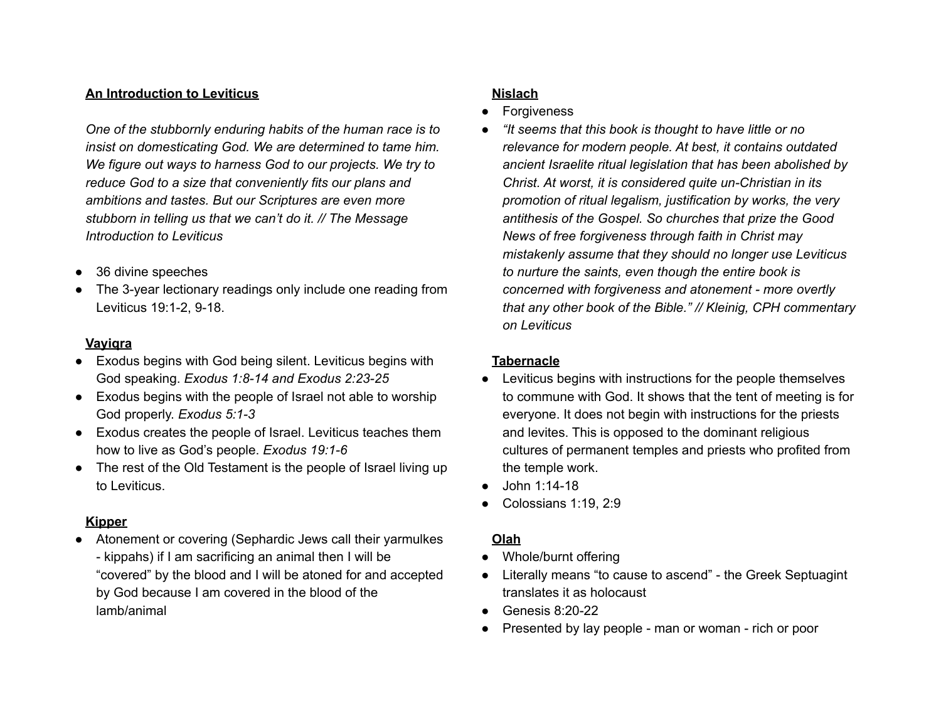## **An Introduction to Leviticus**

*One of the stubbornly enduring habits of the human race is to insist on domesticating God. We are determined to tame him. We figure out ways to harness God to our projects. We try to reduce God to a size that conveniently fits our plans and ambitions and tastes. But our Scriptures are even more stubborn in telling us that we can't do it. // The Message Introduction to Leviticus*

- 36 divine speeches
- The 3-year lectionary readings only include one reading from Leviticus 19:1-2, 9-18.

#### **Vayiqra**

- Exodus begins with God being silent. Leviticus begins with God speaking. *Exodus 1:8-14 and Exodus 2:23-25*
- Exodus begins with the people of Israel not able to worship God properly. *Exodus 5:1-3*
- Exodus creates the people of Israel. Leviticus teaches them how to live as God's people. *Exodus 19:1-6*
- The rest of the Old Testament is the people of Israel living up to Leviticus.

### **Kipper**

● Atonement or covering (Sephardic Jews call their yarmulkes - kippahs) if I am sacrificing an animal then I will be "covered" by the blood and I will be atoned for and accepted by God because I am covered in the blood of the lamb/animal

# **Nislach**

- **Forgiveness**
- *● "It seems that this book is thought to have little or no relevance for modern people. At best, it contains outdated ancient Israelite ritual legislation that has been abolished by Christ. At worst, it is considered quite un-Christian in its promotion of ritual legalism, justification by works, the very antithesis of the Gospel. So churches that prize the Good News of free forgiveness through faith in Christ may mistakenly assume that they should no longer use Leviticus to nurture the saints, even though the entire book is concerned with forgiveness and atonement - more overtly that any other book of the Bible." // Kleinig, CPH commentary on Leviticus*

### **Tabernacle**

- Leviticus begins with instructions for the people themselves to commune with God. It shows that the tent of meeting is for everyone. It does not begin with instructions for the priests and levites. This is opposed to the dominant religious cultures of permanent temples and priests who profited from the temple work.
- John 1:14-18
- Colossians 1:19, 2:9

## **Olah**

- Whole/burnt offering
- Literally means "to cause to ascend" the Greek Septuagint translates it as holocaust
- $\bullet$  Genesis 8:20-22
- Presented by lay people man or woman rich or poor